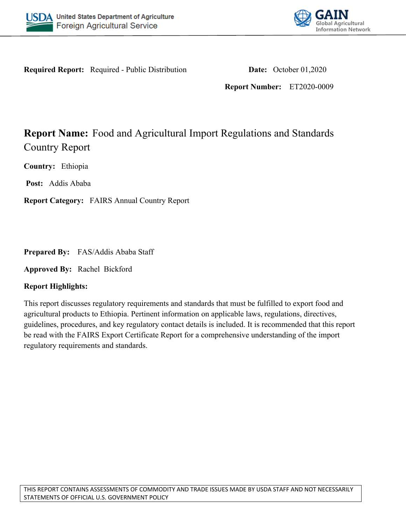



**Required Report:** Required - Public Distribution **Date:** October 01,2020

**Report Number:** ET2020-0009

# **Report Name:** Food and Agricultural Import Regulations and Standards Country Report

**Country:** Ethiopia

**Post:** Addis Ababa

**Report Category:** FAIRS Annual Country Report

**Prepared By:** FAS/Addis Ababa Staff

**Approved By:** Rachel Bickford

## **Report Highlights:**

This report discusses regulatory requirements and standards that must be fulfilled to export food and agricultural products to Ethiopia. Pertinent information on applicable laws, regulations, directives, guidelines, procedures, and key regulatory contact details is included. It is recommended that this report be read with the FAIRS Export Certificate Report for a comprehensive understanding of the import regulatory requirements and standards.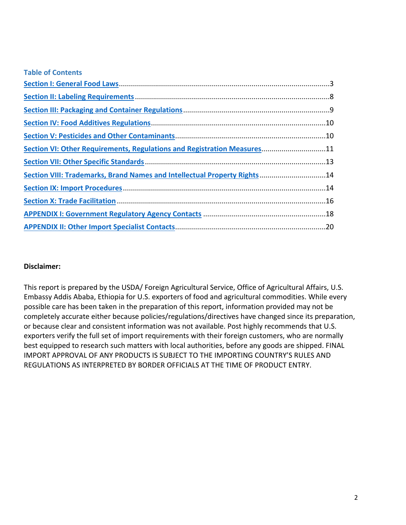| <b>Table of Contents</b>                                                  |  |
|---------------------------------------------------------------------------|--|
|                                                                           |  |
|                                                                           |  |
|                                                                           |  |
|                                                                           |  |
|                                                                           |  |
| Section VI: Other Requirements, Regulations and Registration Measures11   |  |
|                                                                           |  |
| Section VIII: Trademarks, Brand Names and Intellectual Property Rights 14 |  |
|                                                                           |  |
|                                                                           |  |
|                                                                           |  |
|                                                                           |  |

## **Disclaimer:**

This report is prepared by the USDA/ Foreign Agricultural Service, Office of Agricultural Affairs, U.S. Embassy Addis Ababa, Ethiopia for U.S. exporters of food and agricultural commodities. While every possible care has been taken in the preparation of this report, information provided may not be completely accurate either because policies/regulations/directives have changed since its preparation, or because clear and consistent information was not available. Post highly recommends that U.S. exporters verify the full set of import requirements with their foreign customers, who are normally best equipped to research such matters with local authorities, before any goods are shipped. FINAL IMPORT APPROVAL OF ANY PRODUCTS IS SUBJECT TO THE IMPORTING COUNTRY'S RULES AND REGULATIONS AS INTERPRETED BY BORDER OFFICIALS AT THE TIME OF PRODUCT ENTRY.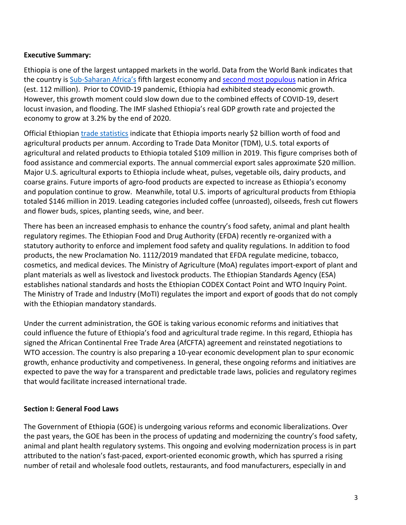#### **Executive Summary:**

Ethiopia is one of the largest untapped markets in the world. Data from the World Bank indicates that the country is [Sub-Saharan Africa's](https://data.worldbank.org/indicator/NY.GDP.MKTP.KD?locations=ZG&most_recent_value_desc=true) fifth largest economy and [second most populous](hhttps://data.worldbank.org/indicator/SP.POP.TOTL?locations=ZG-ZQ&most_recent_value_desc=true) nation in Africa (est. 112 million). Prior to COVID-19 pandemic, Ethiopia had exhibited steady economic growth. However, this growth moment could slow down due to the combined effects of COVID-19, desert locust invasion, and flooding. The IMF slashed Ethiopia's real GDP growth rate and projected the economy to grow at 3.2% by the end of 2020.

Official Ethiopian [trade statistics](https://www.fas.usda.gov/data/ethiopia-ethiopia-s-ag-imports-continue-growing-0) indicate that Ethiopia imports nearly \$2 billion worth of food and agricultural products per annum. According to Trade Data Monitor (TDM), U.S. total exports of agricultural and related products to Ethiopia totaled \$109 million in 2019. This figure comprises both of food assistance and commercial exports. The annual commercial export sales approximate \$20 million. Major U.S. agricultural exports to Ethiopia include wheat, pulses, vegetable oils, dairy products, and coarse grains. Future imports of agro-food products are expected to increase as Ethiopia's economy and population continue to grow. Meanwhile, total U.S. imports of agricultural products from Ethiopia totaled \$146 million in 2019. Leading categories included coffee (unroasted), oilseeds, fresh cut flowers and flower buds, spices, planting seeds, wine, and beer.

There has been an increased emphasis to enhance the country's food safety, animal and plant health regulatory regimes. The Ethiopian Food and Drug Authority (EFDA) recently re-organized with a statutory authority to enforce and implement food safety and quality regulations. In addition to food products, the new Proclamation No. 1112/2019 mandated that EFDA regulate medicine, tobacco, cosmetics, and medical devices. The Ministry of Agriculture (MoA) regulates import-export of plant and plant materials as well as livestock and livestock products. The Ethiopian Standards Agency (ESA) establishes national standards and hosts the Ethiopian CODEX Contact Point and WTO Inquiry Point. The Ministry of Trade and Industry (MoTI) regulates the import and export of goods that do not comply with the Ethiopian mandatory standards.

Under the current administration, the GOE is taking various economic reforms and initiatives that could influence the future of Ethiopia's food and agricultural trade regime. In this regard, Ethiopia has signed the African Continental Free Trade Area (AfCFTA) agreement and reinstated negotiations to WTO accession. The country is also preparing a 10-year economic development plan to spur economic growth, enhance productivity and competiveness. In general, these ongoing reforms and initiatives are expected to pave the way for a transparent and predictable trade laws, policies and regulatory regimes that would facilitate increased international trade.

#### <span id="page-2-0"></span>**Section I: General Food Laws**

The Government of Ethiopia (GOE) is undergoing various reforms and economic liberalizations. Over the past years, the GOE has been in the process of updating and modernizing the country's food safety, animal and plant health regulatory systems. This ongoing and evolving modernization process is in part attributed to the nation's fast-paced, export-oriented economic growth, which has spurred a rising number of retail and wholesale food outlets, restaurants, and food manufacturers, especially in and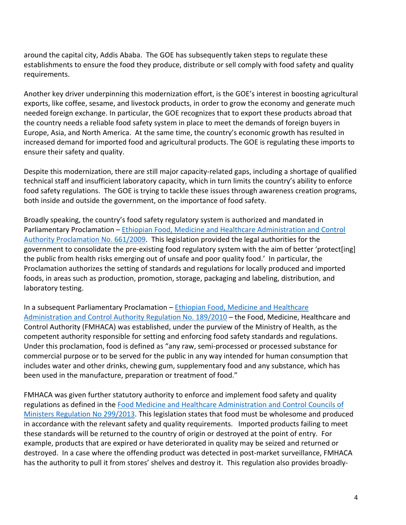around the capital city, Addis Ababa. The GOE has subsequently taken steps to regulate these establishments to ensure the food they produce, distribute or sell comply with food safety and quality requirements.

Another key driver underpinning this modernization effort, is the GOE's interest in boosting agricultural exports, like coffee, sesame, and livestock products, in order to grow the economy and generate much needed foreign exchange. In particular, the GOE recognizes that to export these products abroad that the country needs a reliable food safety system in place to meet the demands of foreign buyers in Europe, Asia, and North America. At the same time, the country's economic growth has resulted in increased demand for imported food and agricultural products. The GOE is regulating these imports to ensure their safety and quality.

Despite this modernization, there are still major capacity-related gaps, including a shortage of qualified technical staff and insufficient laboratory capacity, which in turn limits the country's ability to enforce food safety regulations. The GOE is trying to tackle these issues through awareness creation programs, both inside and outside the government, on the importance of food safety.

Broadly speaking, the country's food safety regulatory system is authorized and mandated in Parliamentary Proclamation – [Ethiopian Food, Medicine and Healthcare Administration and Control](http://www.fao.org/faolex/results/details/en/c/LEX-FAOC094419)  [Authority Proclamation No. 661/2009.](http://www.fao.org/faolex/results/details/en/c/LEX-FAOC094419) This legislation provided the legal authorities for the government to consolidate the pre-existing food regulatory system with the aim of better 'protect[ing] the public from health risks emerging out of unsafe and poor quality food.' In particular, the Proclamation authorizes the setting of standards and regulations for locally produced and imported foods, in areas such as production, promotion, storage, packaging and labeling, distribution, and laboratory testing.

In a subsequent Parliamentary Proclamation – [Ethiopian Food, Medicine and Healthcare](http://www.fao.org/faolex/results/details/en/c/LEX-FAOC121682)  [Administration and Control Authority Regulation No. 189/2010](http://www.fao.org/faolex/results/details/en/c/LEX-FAOC121682) – the Food, Medicine, Healthcare and Control Authority (FMHACA) was established, under the purview of the Ministry of Health, as the competent authority responsible for setting and enforcing food safety standards and regulations. Under this proclamation, food is defined as "any raw, semi-processed or processed substance for commercial purpose or to be served for the public in any way intended for human consumption that includes water and other drinks, chewing gum, supplementary food and any substance, which has been used in the manufacture, preparation or treatment of food."

FMHACA was given further statutory authority to enforce and implement food safety and quality regulations as defined in the [Food Medicine and Healthcare Administration and Control Councils of](http://www.fao.org/faolex/results/details/en/c/LEX-FAOC170214)  [Ministers Regulation No 299/2013](http://www.fao.org/faolex/results/details/en/c/LEX-FAOC170214). This legislation states that food must be wholesome and produced in accordance with the relevant safety and quality requirements. Imported products failing to meet these standards will be returned to the country of origin or destroyed at the point of entry. For example, products that are expired or have deteriorated in quality may be seized and returned or destroyed. In a case where the offending product was detected in post-market surveillance, FMHACA has the authority to pull it from stores' shelves and destroy it. This regulation also provides broadly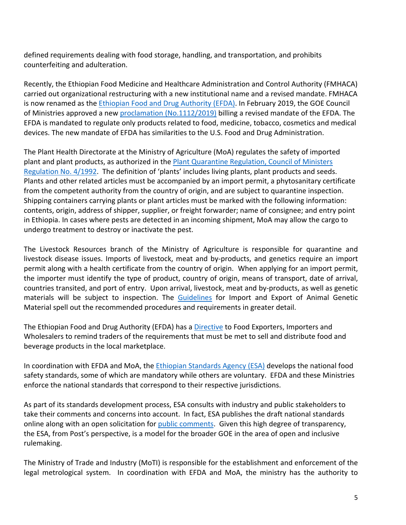defined requirements dealing with food storage, handling, and transportation, and prohibits counterfeiting and adulteration.

Recently, the Ethiopian Food Medicine and Healthcare Administration and Control Authority (FMHACA) carried out organizational restructuring with a new institutional name and a revised mandate. FMHACA is now renamed as the [Ethiopian Food and Drug Authority \(EFDA\).](http://www.fmhaca.gov.et/) In February 2019, the GOE Council of Ministries approved a new [proclamation \(No.1112/2019\)](http://www.fmhaca.gov.et/wp-content/uploads/2020/06/Food-and-Medicine-Administration-Proclamation-1112.pdf) billing a revised mandate of the EFDA. The EFDA is mandated to regulate only products related to food, medicine, tobacco, cosmetics and medical devices. The new mandate of EFDA has similarities to the U.S. Food and Drug Administration.

The Plant Health Directorate at the Ministry of Agriculture (MoA) regulates the safety of imported plant and plant products, as authorized in the [Plant Quarantine Regulation, Council of Ministers](http://extwprlegs1.fao.org/docs/pdf/eth4524.pdf)  [Regulation No. 4/1992.](http://extwprlegs1.fao.org/docs/pdf/eth4524.pdf) The definition of 'plants' includes living plants, plant products and seeds. Plants and other related articles must be accompanied by an import permit, a phytosanitary certificate from the competent authority from the country of origin, and are subject to quarantine inspection. Shipping containers carrying plants or plant articles must be marked with the following information: contents, origin, address of shipper, supplier, or freight forwarder; name of consignee; and entry point in Ethiopia. In cases where pests are detected in an incoming shipment, MoA may allow the cargo to undergo treatment to destroy or inactivate the pest.

The Livestock Resources branch of the Ministry of Agriculture is responsible for quarantine and livestock disease issues. Imports of livestock, meat and by-products, and genetics require an import permit along with a health certificate from the country of origin. When applying for an import permit, the importer must identify the type of product, country of origin, means of transport, date of arrival, countries transited, and port of entry. Upon arrival, livestock, meat and by-products, as well as genetic materials will be subject to inspection. The [Guidelines](http://ethiopianconsla.org/wprs/wp-content/uploads/2014/04/GUIDELINES-FOR-IMPORT-AND-EXPORT-OF-ANIMAL-AND-ANIMAL-GENETIC-MATERIAL-1.pdf) for Import and Export of Animal Genetic Material spell out the recommended procedures and requirements in greater detail.

The Ethiopian Food and Drug Authority (EFDA) has a [Directive](https://gain.fas.usda.gov/Recent%20GAIN%20Publications/Ethiopia) to Food Exporters, Importers and Wholesalers to remind traders of the requirements that must be met to sell and distribute food and beverage products in the local marketplace.

In coordination with EFDA and MoA, the [Ethiopian Standards Agency \(ESA\)](http://www.ethiostandards.org/) develops the national food safety standards, some of which are mandatory while others are voluntary. EFDA and these Ministries enforce the national standards that correspond to their respective jurisdictions.

As part of its standards development process, ESA consults with industry and public stakeholders to take their comments and concerns into account. In fact, ESA publishes the draft national standards online along with an open solicitation for [public comments](https://www.ethiostandards.org/node/289). Given this high degree of transparency, the ESA, from Post's perspective, is a model for the broader GOE in the area of open and inclusive rulemaking.

The Ministry of Trade and Industry (MoTI) is responsible for the establishment and enforcement of the legal metrological system. In coordination with EFDA and MoA, the ministry has the authority to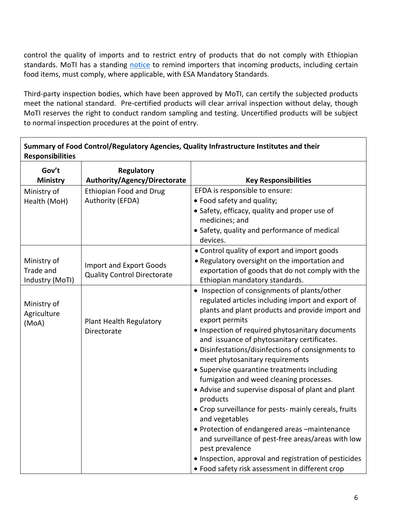control the quality of imports and to restrict entry of products that do not comply with Ethiopian standards. MoTI has a standing [notice](http://www.motin.gov.et/-/to-all-importers-in-ethiopia?inheritRedirect=true&redirect=/) to remind importers that incoming products, including certain food items, must comply, where applicable, with ESA Mandatory Standards.

Third-party inspection bodies, which have been approved by MoTI, can certify the subjected products meet the national standard. Pre-certified products will clear arrival inspection without delay, though MoTI reserves the right to conduct random sampling and testing. Uncertified products will be subject to normal inspection procedures at the point of entry.

Г

| Summary of Food Control/Regulatory Agencies, Quality Infrastructure Institutes and their<br><b>Responsibilities</b> |                                                                      |                                                                                                                                                                                                                                                                                                                                                                                                                                                                                                                                                                                                                                                                                                                                                                                                                                                  |  |  |
|---------------------------------------------------------------------------------------------------------------------|----------------------------------------------------------------------|--------------------------------------------------------------------------------------------------------------------------------------------------------------------------------------------------------------------------------------------------------------------------------------------------------------------------------------------------------------------------------------------------------------------------------------------------------------------------------------------------------------------------------------------------------------------------------------------------------------------------------------------------------------------------------------------------------------------------------------------------------------------------------------------------------------------------------------------------|--|--|
| Gov't<br><b>Ministry</b>                                                                                            | Regulatory<br>Authority/Agency/Directorate                           | <b>Key Responsibilities</b>                                                                                                                                                                                                                                                                                                                                                                                                                                                                                                                                                                                                                                                                                                                                                                                                                      |  |  |
| Ministry of<br>Health (MoH)                                                                                         | <b>Ethiopian Food and Drug</b><br>Authority (EFDA)                   | EFDA is responsible to ensure:<br>• Food safety and quality;<br>• Safety, efficacy, quality and proper use of<br>medicines; and<br>• Safety, quality and performance of medical<br>devices.                                                                                                                                                                                                                                                                                                                                                                                                                                                                                                                                                                                                                                                      |  |  |
| Ministry of<br>Trade and<br>Industry (MoTI)                                                                         | <b>Import and Export Goods</b><br><b>Quality Control Directorate</b> | • Control quality of export and import goods<br>. Regulatory oversight on the importation and<br>exportation of goods that do not comply with the<br>Ethiopian mandatory standards.                                                                                                                                                                                                                                                                                                                                                                                                                                                                                                                                                                                                                                                              |  |  |
| Ministry of<br>Agriculture<br>(MoA)                                                                                 | Plant Health Regulatory<br>Directorate                               | • Inspection of consignments of plants/other<br>regulated articles including import and export of<br>plants and plant products and provide import and<br>export permits<br>• Inspection of required phytosanitary documents<br>and issuance of phytosanitary certificates.<br>· Disinfestations/disinfections of consignments to<br>meet phytosanitary requirements<br>• Supervise quarantine treatments including<br>fumigation and weed cleaning processes.<br>• Advise and supervise disposal of plant and plant<br>products<br>• Crop surveillance for pests- mainly cereals, fruits<br>and vegetables<br>• Protection of endangered areas -maintenance<br>and surveillance of pest-free areas/areas with low<br>pest prevalence<br>• Inspection, approval and registration of pesticides<br>• Food safety risk assessment in different crop |  |  |

٦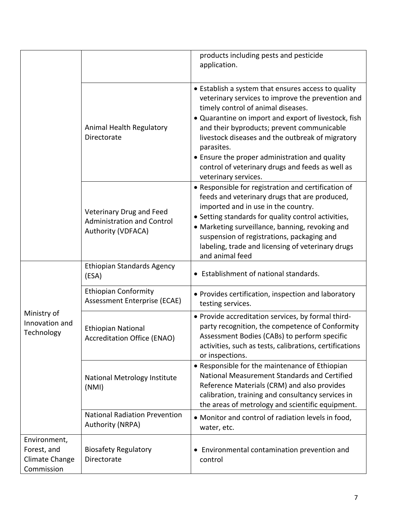|                                                             |                                                                                     | products including pests and pesticide<br>application.                                                                                                                                                                                                                                                                                                                                                                                               |
|-------------------------------------------------------------|-------------------------------------------------------------------------------------|------------------------------------------------------------------------------------------------------------------------------------------------------------------------------------------------------------------------------------------------------------------------------------------------------------------------------------------------------------------------------------------------------------------------------------------------------|
|                                                             | Animal Health Regulatory<br>Directorate                                             | • Establish a system that ensures access to quality<br>veterinary services to improve the prevention and<br>timely control of animal diseases.<br>• Quarantine on import and export of livestock, fish<br>and their byproducts; prevent communicable<br>livestock diseases and the outbreak of migratory<br>parasites.<br>• Ensure the proper administration and quality<br>control of veterinary drugs and feeds as well as<br>veterinary services. |
|                                                             | Veterinary Drug and Feed<br><b>Administration and Control</b><br>Authority (VDFACA) | • Responsible for registration and certification of<br>feeds and veterinary drugs that are produced,<br>imported and in use in the country.<br>• Setting standards for quality control activities,<br>• Marketing surveillance, banning, revoking and<br>suspension of registrations, packaging and<br>labeling, trade and licensing of veterinary drugs<br>and animal feed                                                                          |
| Ministry of<br>Innovation and<br>Technology                 | <b>Ethiopian Standards Agency</b><br>(ESA)                                          | • Establishment of national standards.                                                                                                                                                                                                                                                                                                                                                                                                               |
|                                                             | <b>Ethiopian Conformity</b><br>Assessment Enterprise (ECAE)                         | • Provides certification, inspection and laboratory<br>testing services.                                                                                                                                                                                                                                                                                                                                                                             |
|                                                             | <b>Ethiopian National</b><br><b>Accreditation Office (ENAO)</b>                     | • Provide accreditation services, by formal third-<br>party recognition, the competence of Conformity<br>Assessment Bodies (CABs) to perform specific<br>activities, such as tests, calibrations, certifications<br>or inspections.                                                                                                                                                                                                                  |
|                                                             | National Metrology Institute<br>(NMI)                                               | • Responsible for the maintenance of Ethiopian<br>National Measurement Standards and Certified<br>Reference Materials (CRM) and also provides<br>calibration, training and consultancy services in<br>the areas of metrology and scientific equipment.                                                                                                                                                                                               |
|                                                             | <b>National Radiation Prevention</b><br>Authority (NRPA)                            | • Monitor and control of radiation levels in food,<br>water, etc.                                                                                                                                                                                                                                                                                                                                                                                    |
| Environment,<br>Forest, and<br>Climate Change<br>Commission | <b>Biosafety Regulatory</b><br>Directorate                                          | • Environmental contamination prevention and<br>control                                                                                                                                                                                                                                                                                                                                                                                              |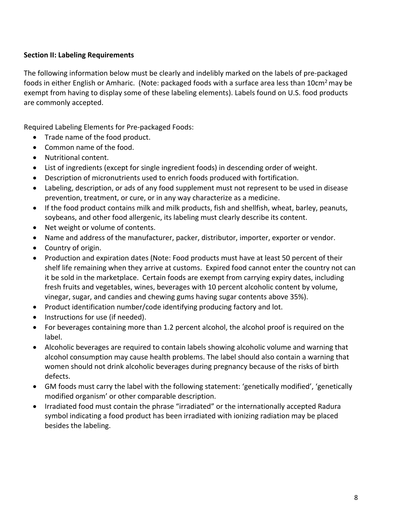## <span id="page-7-0"></span>**Section II: Labeling Requirements**

The following information below must be clearly and indelibly marked on the labels of pre-packaged foods in either English or Amharic. (Note: packaged foods with a surface area less than 10cm<sup>2</sup> may be exempt from having to display some of these labeling elements). Labels found on U.S. food products are commonly accepted.

Required Labeling Elements for Pre-packaged Foods:

- Trade name of the food product.
- Common name of the food.
- Nutritional content.
- List of ingredients (except for single ingredient foods) in descending order of weight.
- Description of micronutrients used to enrich foods produced with fortification.
- Labeling, description, or ads of any food supplement must not represent to be used in disease prevention, treatment, or cure, or in any way characterize as a medicine.
- If the food product contains milk and milk products, fish and shellfish, wheat, barley, peanuts, soybeans, and other food allergenic, its labeling must clearly describe its content.
- Net weight or volume of contents.
- Name and address of the manufacturer, packer, distributor, importer, exporter or vendor.
- Country of origin.
- Production and expiration dates (Note: Food products must have at least 50 percent of their shelf life remaining when they arrive at customs. Expired food cannot enter the country not can it be sold in the marketplace. Certain foods are exempt from carrying expiry dates, including fresh fruits and vegetables, wines, beverages with 10 percent alcoholic content by volume, vinegar, sugar, and candies and chewing gums having sugar contents above 35%).
- Product identification number/code identifying producing factory and lot.
- Instructions for use (if needed).
- For beverages containing more than 1.2 percent alcohol, the alcohol proof is required on the label.
- Alcoholic beverages are required to contain labels showing alcoholic volume and warning that alcohol consumption may cause health problems. The label should also contain a warning that women should not drink alcoholic beverages during pregnancy because of the risks of birth defects.
- GM foods must carry the label with the following statement: 'genetically modified', 'genetically modified organism' or other comparable description.
- Irradiated food must contain the phrase "irradiated" or the internationally accepted Radura symbol indicating a food product has been irradiated with ionizing radiation may be placed besides the labeling.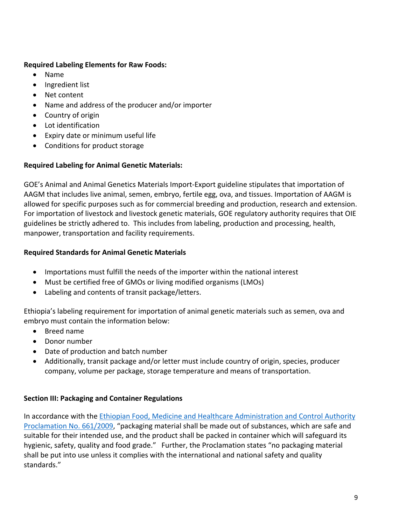## **Required Labeling Elements for Raw Foods:**

- Name
- Ingredient list
- Net content
- Name and address of the producer and/or importer
- Country of origin
- Lot identification
- Expiry date or minimum useful life
- Conditions for product storage

# **Required Labeling for Animal Genetic Materials:**

GOE's Animal and Animal Genetics Materials Import-Export guideline stipulates that importation of AAGM that includes live animal, semen, embryo, fertile egg, ova, and tissues. Importation of AAGM is allowed for specific purposes such as for commercial breeding and production, research and extension. For importation of livestock and livestock genetic materials, GOE regulatory authority requires that OIE guidelines be strictly adhered to. This includes from labeling, production and processing, health, manpower, transportation and facility requirements.

# **Required Standards for Animal Genetic Materials**

- Importations must fulfill the needs of the importer within the national interest
- Must be certified free of GMOs or living modified organisms (LMOs)
- Labeling and contents of transit package/letters.

Ethiopia's labeling requirement for importation of animal genetic materials such as semen, ova and embryo must contain the information below:

- Breed name
- Donor number
- Date of production and batch number
- Additionally, transit package and/or letter must include country of origin, species, producer company, volume per package, storage temperature and means of transportation.

# <span id="page-8-0"></span>**Section III: Packaging and Container Regulations**

In accordance with the [Ethiopian Food, Medicine and Healthcare Administration and Control Authority](http://www.fao.org/faolex/results/details/en/c/LEX-FAOC094419)  [Proclamation No. 661/2009,](http://www.fao.org/faolex/results/details/en/c/LEX-FAOC094419) "packaging material shall be made out of substances, which are safe and suitable for their intended use, and the product shall be packed in container which will safeguard its hygienic, safety, quality and food grade." Further, the Proclamation states "no packaging material shall be put into use unless it complies with the international and national safety and quality standards."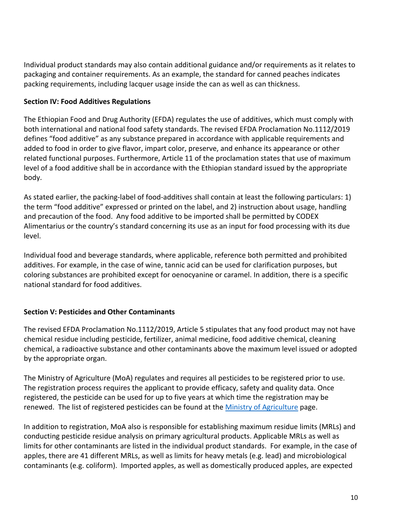Individual product standards may also contain additional guidance and/or requirements as it relates to packaging and container requirements. As an example, the standard for canned peaches indicates packing requirements, including lacquer usage inside the can as well as can thickness.

## <span id="page-9-0"></span>**Section IV: Food Additives Regulations**

The Ethiopian Food and Drug Authority (EFDA) regulates the use of additives, which must comply with both international and national food safety standards. The revised EFDA Proclamation No.1112/2019 defines "food additive" as any substance prepared in accordance with applicable requirements and added to food in order to give flavor, impart color, preserve, and enhance its appearance or other related functional purposes. Furthermore, Article 11 of the proclamation states that use of maximum level of a food additive shall be in accordance with the Ethiopian standard issued by the appropriate body.

As stated earlier, the packing-label of food-additives shall contain at least the following particulars: 1) the term "food additive" expressed or printed on the label, and 2) instruction about usage, handling and precaution of the food. Any food additive to be imported shall be permitted by CODEX Alimentarius or the country's standard concerning its use as an input for food processing with its due level.

Individual food and beverage standards, where applicable, reference both permitted and prohibited additives. For example, in the case of wine, tannic acid can be used for clarification purposes, but coloring substances are prohibited except for oenocyanine or caramel. In addition, there is a specific national standard for food additives.

# <span id="page-9-1"></span>**Section V: Pesticides and Other Contaminants**

The revised EFDA Proclamation No.1112/2019, Article 5 stipulates that any food product may not have chemical residue including pesticide, fertilizer, animal medicine, food additive chemical, cleaning chemical, a radioactive substance and other contaminants above the maximum level issued or adopted by the appropriate organ.

The Ministry of Agriculture (MoA) regulates and requires all pesticides to be registered prior to use. The registration process requires the applicant to provide efficacy, safety and quality data. Once registered, the pesticide can be used for up to five years at which time the registration may be renewed. The list of registered pesticides can be found at the [Ministry of Agriculture](http://www.moa.gov.et/list-of-registered-pesticides) page.

In addition to registration, MoA also is responsible for establishing maximum residue limits (MRLs) and conducting pesticide residue analysis on primary agricultural products. Applicable MRLs as well as limits for other contaminants are listed in the individual product standards. For example, in the case of apples, there are 41 different MRLs, as well as limits for heavy metals (e.g. lead) and microbiological contaminants (e.g. coliform). Imported apples, as well as domestically produced apples, are expected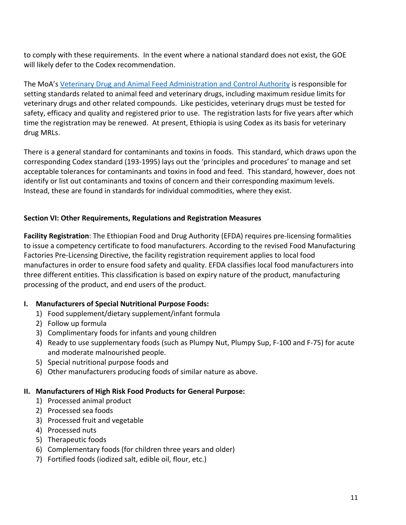to comply with these requirements. In the event where a national standard does not exist, the GOE will likely defer to the Codex recommendation.

The MoA's [Veterinary Drug and Animal Feed Administration and Control Authority](http://www.fao.org/faolex/results/details/en/c/LEX-FAOC170320) is responsible for setting standards related to animal feed and veterinary drugs, including maximum residue limits for veterinary drugs and other related compounds. Like pesticides, veterinary drugs must be tested for safety, efficacy and quality and registered prior to use. The registration lasts for five years after which time the registration may be renewed. At present, Ethiopia is using Codex as its basis for veterinary drug MRLs.

There is a general standard for contaminants and toxins in foods. This standard, which draws upon the corresponding Codex standard (193-1995) lays out the 'principles and procedures' to manage and set acceptable tolerances for contaminants and toxins in food and feed. This standard, however, does not identify or list out contaminants and toxins of concern and their corresponding maximum levels. Instead, these are found in standards for individual commodities, where they exist.

## <span id="page-10-0"></span>**Section VI: Other Requirements, Regulations and Registration Measures**

**Facility Registration**: The Ethiopian Food and Drug Authority (EFDA) requires pre-licensing formalities to issue a competency certificate to food manufacturers. According to the revised Food Manufacturing Factories Pre-Licensing Directive, the facility registration requirement applies to local food manufactures in order to ensure food safety and quality. EFDA classifies local food manufacturers into three different entities. This classification is based on expiry nature of the product, manufacturing processing of the product, and end users of the product.

## **I. Manufacturers of Special Nutritional Purpose Foods:**

- 1) Food supplement/dietary supplement/infant formula
- 2) Follow up formula
- 3) Complimentary foods for infants and young children
- 4) Ready to use supplementary foods (such as Plumpy Nut, Plumpy Sup, F-100 and F-75) for acute and moderate malnourished people.
- 5) Special nutritional purpose foods and
- 6) Other manufacturers producing foods of similar nature as above.

# **II. Manufacturers of High Risk Food Products for General Purpose:**

- 1) Processed animal product
- 2) Processed sea foods
- 3) Processed fruit and vegetable
- 4) Processed nuts
- 5) Therapeutic foods
- 6) Complementary foods (for children three years and older)
- 7) Fortified foods (iodized salt, edible oil, flour, etc.)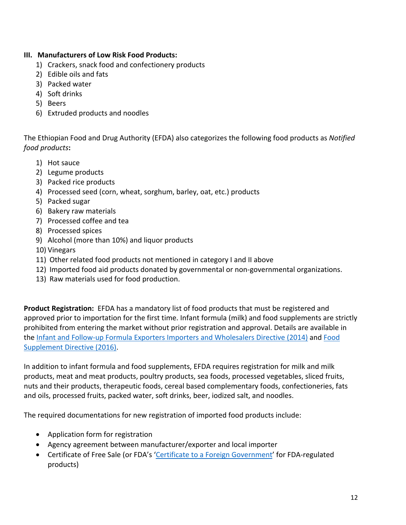# **III. Manufacturers of Low Risk Food Products:**

- 1) Crackers, snack food and confectionery products
- 2) Edible oils and fats
- 3) Packed water
- 4) Soft drinks
- 5) Beers
- 6) Extruded products and noodles

The Ethiopian Food and Drug Authority (EFDA) also categorizes the following food products as *Notified food products***:**

- 1) Hot sauce
- 2) Legume products
- 3) Packed rice products
- 4) Processed seed (corn, wheat, sorghum, barley, oat, etc.) products
- 5) Packed sugar
- 6) Bakery raw materials
- 7) Processed coffee and tea
- 8) Processed spices
- 9) Alcohol (more than 10%) and liquor products
- 10) Vinegars
- 11) Other related food products not mentioned in category I and II above
- 12) Imported food aid products donated by governmental or non-governmental organizations.
- 13) Raw materials used for food production.

**Product Registration:** EFDA has a mandatory list of food products that must be registered and approved prior to importation for the first time. Infant formula (milk) and food supplements are strictly prohibited from entering the market without prior registration and approval. Details are available in the [Infant and Follow-up Formula Exporters Importers and Wholesalers Directive \(2014\)](http://www.fmhaca.gov.et/publication/infant-and-follow-up-formula-directive/) and [Food](http://www.fmhaca.gov.et/publication/food-supplement-directive/)  [Supplement Directive \(2016\).](http://www.fmhaca.gov.et/publication/food-supplement-directive/)

In addition to infant formula and food supplements, EFDA requires registration for milk and milk products, meat and meat products, poultry products, sea foods, processed vegetables, sliced fruits, nuts and their products, therapeutic foods, cereal based complementary foods, confectioneries, fats and oils, processed fruits, packed water, soft drinks, beer, iodized salt, and noodles.

The required documentations for new registration of imported food products include:

- Application form for registration
- Agency agreement between manufacturer/exporter and local importer
- Certificate of Free Sale (or FDA's ['Certificate to a Foreign Government'](https://www.fda.gov/food/food-export-certificates/online-applications-export-certificates-food) for FDA-regulated products)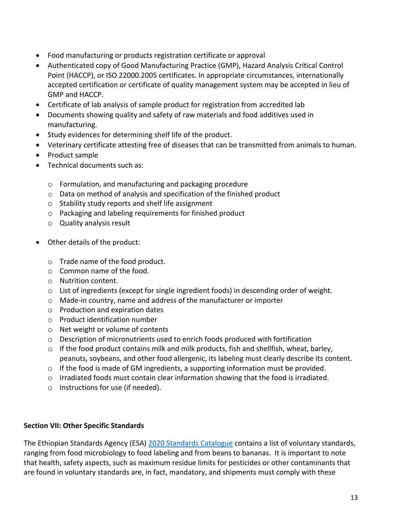- Food manufacturing or products registration certificate or approval
- Authenticated copy of Good Manufacturing Practice (GMP), Hazard Analysis Critical Control Point (HACCP), or ISO 22000.2005 certificates. In appropriate circumstances, internationally accepted certification or certificate of quality management system may be accepted in lieu of GMP and HACCP.
- Certificate of lab analysis of sample product for registration from accredited lab
- Documents showing quality and safety of raw materials and food additives used in manufacturing.
- Study evidences for determining shelf life of the product.
- Veterinary certificate attesting free of diseases that can be transmitted from animals to human.
- Product sample
- Technical documents such as:
	- o Formulation, and manufacturing and packaging procedure
	- o Data on method of analysis and specification of the finished product
	- o Stability study reports and shelf life assignment
	- o Packaging and labeling requirements for finished product
	- o Quality analysis result
- Other details of the product:
	- o Trade name of the food product.
	- o Common name of the food.
	- o Nutrition content.
	- $\circ$  List of ingredients (except for single ingredient foods) in descending order of weight.
	- o Made-in country, name and address of the manufacturer or importer
	- o Production and expiration dates
	- o Product identification number
	- o Net weight or volume of contents
	- o Description of micronutrients used to enrich foods produced with fortification
	- $\circ$  If the food product contains milk and milk products, fish and shellfish, wheat, barley, peanuts, soybeans, and other food allergenic, its labeling must clearly describe its content.
	- o If the food is made of GM ingredients, a supporting information must be provided.
	- $\circ$  Irradiated foods must contain clear information showing that the food is irradiated.
	- o Instructions for use (if needed).

## <span id="page-12-0"></span>**Section VII: Other Specific Standards**

The Ethiopian Standards Agency (ESA) [2020 Standards Catalogue](https://www.ethiostandards.org/node/262) contains a list of voluntary standards, ranging from food microbiology to food labeling and from beans to bananas. It is important to note that health, safety aspects, such as maximum residue limits for pesticides or other contaminants that are found in voluntary standards are, in fact, mandatory, and shipments must comply with these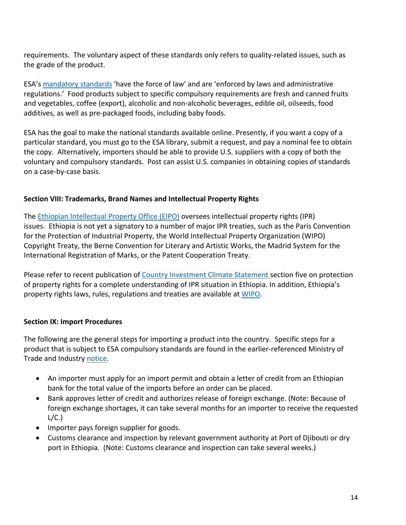requirements. The voluntary aspect of these standards only refers to quality-related issues, such as the grade of the product.

ESA's [mandatory standards](http://www.intertek.com/WorkArea/DownloadAsset.aspx?id=34359765087) 'have the force of law' and are 'enforced by laws and administrative regulations.' Food products subject to specific compulsory requirements are fresh and canned fruits and vegetables, coffee (export), alcoholic and non-alcoholic beverages, edible oil, oilseeds, food additives, as well as pre-packaged foods, including baby foods.

ESA has the goal to make the national standards available online. Presently, if you want a copy of a particular standard, you must go to the ESA library, submit a request, and pay a nominal fee to obtain the copy. Alternatively, importers should be able to provide U.S. suppliers with a copy of both the voluntary and compulsory standards. Post can assist U.S. companies in obtaining copies of standards on a case-by-case basis.

#### <span id="page-13-0"></span>**Section VIII: Trademarks, Brand Names and Intellectual Property Rights**

The [Ethiopian Intellectual Property Office \(EIPO\)](https://www.wipo.int/members/en/contact.jsp?country_id=56) oversees intellectual property rights (IPR) issues. Ethiopia is not yet a signatory to a number of major IPR treaties, such as the Paris Convention for the Protection of Industrial Property, the World Intellectual Property Organization (WIPO) Copyright Treaty, the Berne Convention for Literary and Artistic Works, the Madrid System for the International Registration of Marks, or the Patent Cooperation Treaty.

Please refer to recent publication of [Country Investment Climate Statement s](https://www.state.gov/reports/2020-investment-climate-statements/ethiopia/)ection five on protection of property rights for a complete understanding of IPR situation in Ethiopia. In addition, Ethiopia's property rights laws, rules, regulations and treaties are available at [WIPO](http://www.wipo.int/wipolex/en/profile.jsp?code=ET).

#### <span id="page-13-1"></span>**Section IX: Import Procedures**

The following are the general steps for importing a product into the country. Specific steps for a product that is subject to [ESA compulsory standards](http://www.intertek.com/WorkArea/DownloadAsset.aspx?id=34359765087) are found in the earlier-referenced Ministry of Trade and Industry [notice](http://www.motin.gov.et/-/to-all-importers-in-ethiopia?inheritRedirect=true&redirect=/).

- An importer must apply for an import permit and obtain a letter of credit from an Ethiopian bank for the total value of the imports before an order can be placed.
- Bank approves letter of credit and authorizes release of foreign exchange. (Note: Because of foreign exchange shortages, it can take several months for an importer to receive the requested  $L/C.$
- Importer pays foreign supplier for goods.
- Customs clearance and inspection by relevant government authority at Port of Djibouti or dry port in Ethiopia. (Note: Customs clearance and inspection can take several weeks.)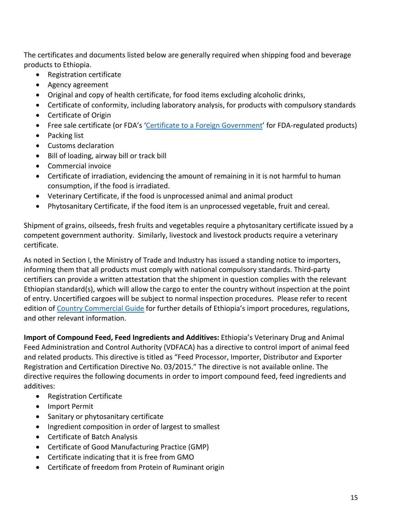The certificates and documents listed below are generally required when shipping food and beverage products to Ethiopia.

- Registration certificate
- Agency agreement
- Original and copy of health certificate, for food items excluding alcoholic drinks,
- Certificate of conformity, including laboratory analysis, for products with compulsory standards
- Certificate of Origin
- Free sale certificate (or FDA's ['Certificate to a Foreign Government](https://www.fda.gov/food/food-export-certificates/online-applications-export-certificates-food)' for FDA-regulated products)
- Packing list
- Customs declaration
- Bill of loading, airway bill or track bill
- Commercial invoice
- Certificate of irradiation, evidencing the amount of remaining in it is not harmful to human consumption, if the food is irradiated.
- Veterinary Certificate, if the food is unprocessed animal and animal product
- Phytosanitary Certificate, if the food item is an unprocessed vegetable, fruit and cereal.

Shipment of grains, oilseeds, fresh fruits and vegetables require a phytosanitary certificate issued by a competent government authority. Similarly, livestock and livestock products require a veterinary certificate.

As noted in Section I, the Ministry of Trade and Industry has issued a standing notice to importers, informing them that all products must comply with national compulsory standards. Third-party certifiers can provide a written attestation that the shipment in question complies with the relevant Ethiopian standard(s), which will allow the cargo to enter the country without inspection at the point of entry. Uncertified cargoes will be subject to normal inspection procedures. Please refer to recent edition of [Country Commercial Guide](https://www.trade.gov/knowledge-product/ethiopia-market-overview?section-nav=4826) for further details of Ethiopia's import procedures, regulations, and other relevant information.

**Import of Compound Feed, Feed Ingredients and Additives:** Ethiopia's Veterinary Drug and Animal Feed Administration and Control Authority (VDFACA) has a directive to control import of animal feed and related products. This directive is titled as "Feed Processor, Importer, Distributor and Exporter Registration and Certification Directive No. 03/2015." The directive is not available online. The directive requires the following documents in order to import compound feed, feed ingredients and additives:

- Registration Certificate
- Import Permit
- Sanitary or phytosanitary certificate
- Ingredient composition in order of largest to smallest
- Certificate of Batch Analysis
- Certificate of Good Manufacturing Practice (GMP)
- Certificate indicating that it is free from GMO
- Certificate of freedom from Protein of Ruminant origin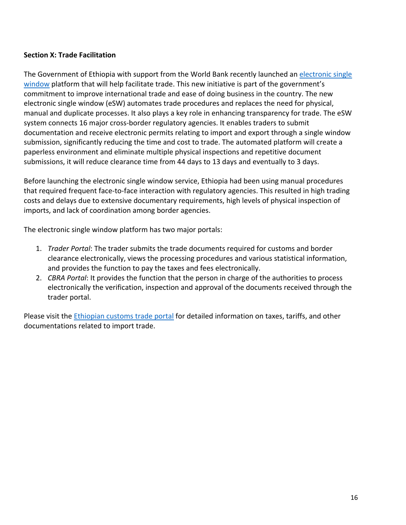## <span id="page-15-0"></span>**Section X: Trade Facilitation**

The Government of Ethiopia with support from the World Bank recently launched an [electronic single](https://esw.et/esw-trd/)  [window](https://esw.et/esw-trd/) platform that will help facilitate trade. This new initiative is part of the government's commitment to improve international trade and ease of doing business in the country. The new electronic single window (eSW) automates trade procedures and replaces the need for physical, manual and duplicate processes. It also plays a key role in enhancing transparency for trade. The eSW system connects 16 major cross-border regulatory agencies. It enables traders to submit documentation and receive electronic permits relating to import and export through a single window submission, significantly reducing the time and cost to trade. The automated platform will create a paperless environment and eliminate multiple physical inspections and repetitive document submissions, it will reduce clearance time from 44 days to 13 days and eventually to 3 days.

Before launching the electronic single window service, Ethiopia had been using manual procedures that required frequent face-to-face interaction with regulatory agencies. This resulted in high trading costs and delays due to extensive documentary requirements, high levels of physical inspection of imports, and lack of coordination among border agencies.

The electronic single window platform has two major portals:

- 1. *Trader Portal*: The trader submits the trade documents required for customs and border clearance electronically, views the processing procedures and various statistical information, and provides the function to pay the taxes and fees electronically.
- 2. *CBRA Portal*: It provides the function that the person in charge of the authorities to process electronically the verification, inspection and approval of the documents received through the trader portal.

Please visit the [Ethiopian customs trade portal](https://customs.erca.gov.et/trade/) for detailed information on taxes, tariffs, and other documentations related to import trade.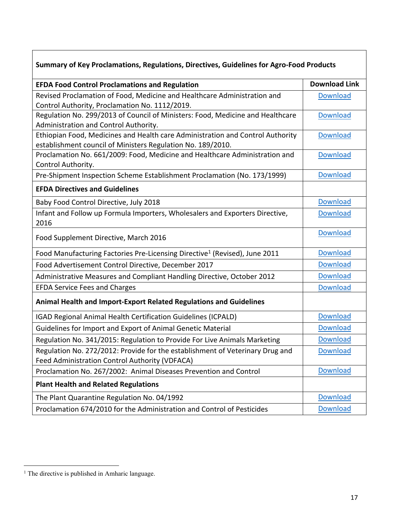| Summary of Key Proclamations, Regulations, Directives, Guidelines for Agro-Food Products                                                      |                      |  |  |  |
|-----------------------------------------------------------------------------------------------------------------------------------------------|----------------------|--|--|--|
| <b>EFDA Food Control Proclamations and Regulation</b>                                                                                         | <b>Download Link</b> |  |  |  |
| Revised Proclamation of Food, Medicine and Healthcare Administration and<br>Control Authority, Proclamation No. 1112/2019.                    | <b>Download</b>      |  |  |  |
| Regulation No. 299/2013 of Council of Ministers: Food, Medicine and Healthcare<br>Administration and Control Authority.                       | <b>Download</b>      |  |  |  |
| Ethiopian Food, Medicines and Health care Administration and Control Authority<br>establishment council of Ministers Regulation No. 189/2010. | <b>Download</b>      |  |  |  |
| Proclamation No. 661/2009: Food, Medicine and Healthcare Administration and<br>Control Authority.                                             | <b>Download</b>      |  |  |  |
| Pre-Shipment Inspection Scheme Establishment Proclamation (No. 173/1999)                                                                      | <b>Download</b>      |  |  |  |
| <b>EFDA Directives and Guidelines</b>                                                                                                         |                      |  |  |  |
| Baby Food Control Directive, July 2018                                                                                                        | <b>Download</b>      |  |  |  |
| Infant and Follow up Formula Importers, Wholesalers and Exporters Directive,<br>2016                                                          | <b>Download</b>      |  |  |  |
| Food Supplement Directive, March 2016                                                                                                         | <b>Download</b>      |  |  |  |
| Food Manufacturing Factories Pre-Licensing Directive <sup>1</sup> (Revised), June 2011                                                        | <b>Download</b>      |  |  |  |
| Food Advertisement Control Directive, December 2017                                                                                           | <b>Download</b>      |  |  |  |
| Administrative Measures and Compliant Handling Directive, October 2012                                                                        | <b>Download</b>      |  |  |  |
| <b>EFDA Service Fees and Charges</b>                                                                                                          | <b>Download</b>      |  |  |  |
| Animal Health and Import-Export Related Regulations and Guidelines                                                                            |                      |  |  |  |
| IGAD Regional Animal Health Certification Guidelines (ICPALD)                                                                                 | <b>Download</b>      |  |  |  |
| Guidelines for Import and Export of Animal Genetic Material                                                                                   | <b>Download</b>      |  |  |  |
| Regulation No. 341/2015: Regulation to Provide For Live Animals Marketing                                                                     | <b>Download</b>      |  |  |  |
| Regulation No. 272/2012: Provide for the establishment of Veterinary Drug and<br>Feed Administration Control Authority (VDFACA)               | <b>Download</b>      |  |  |  |
| Proclamation No. 267/2002: Animal Diseases Prevention and Control                                                                             | <b>Download</b>      |  |  |  |
| <b>Plant Health and Related Regulations</b>                                                                                                   |                      |  |  |  |
| The Plant Quarantine Regulation No. 04/1992                                                                                                   | <b>Download</b>      |  |  |  |
| Proclamation 674/2010 for the Administration and Control of Pesticides                                                                        | <b>Download</b>      |  |  |  |

<sup>&</sup>lt;sup>1</sup> The directive is published in Amharic language.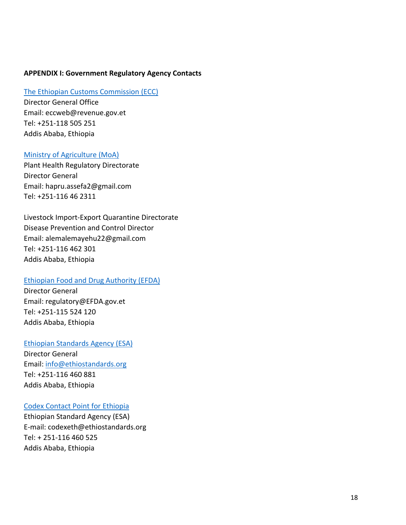#### <span id="page-17-0"></span>**APPENDIX I: Government Regulatory Agency Contacts**

#### [The Ethiopian Customs Commission \(ECC\)](http://www.ecc.gov.et/)

Director General Office Email: [eccweb@revenue.gov.et](mailto:eccweb@revenue.gov.et) Tel: [+251-118 505 251](tel:++2518505251) Addis Ababa, Ethiopia

#### [Ministry of Agriculture \(MoA\)](http://www.moa.gov.et/)

Plant Health Regulatory Directorate Director General Email: [hapru.assefa2@gmail.com](mailto:hapru.assefa2@gmail.com) Tel: +251-116 46 2311

Livestock Import-Export Quarantine Directorate Disease Prevention and Control Director Email: [alemalemayehu22@gmail.com](mailto:alemalemayehu22@gmail.com) Tel: +251-116 462 301 Addis Ababa, Ethiopia

#### [Ethiopian Food and Drug Authority \(EFDA\)](http://www.fmhaca.gov.et/)

Director General Email: regulatory@EFDA.gov.et Tel: +251-115 524 120 Addis Ababa, Ethiopia

#### [Ethiopian Standards Agency \(ESA\)](http://www.ethiostandards.org/)

Director General Email: [info@ethiostandards.org](mailto:info@ethiostandards.org) Tel: +251-116 460 881 Addis Ababa, Ethiopia

#### [Codex Contact Point for Ethiopia](http://www.fao.org/fao-who-codexalimentarius/about-codex/members/detail/en/c/15699/)

Ethiopian Standard Agency (ESA) E-mail: [codexeth@ethiostandards.org](mailto:codexeth@ethiostandards.org) Tel: + 251-116 460 525 Addis Ababa, Ethiopia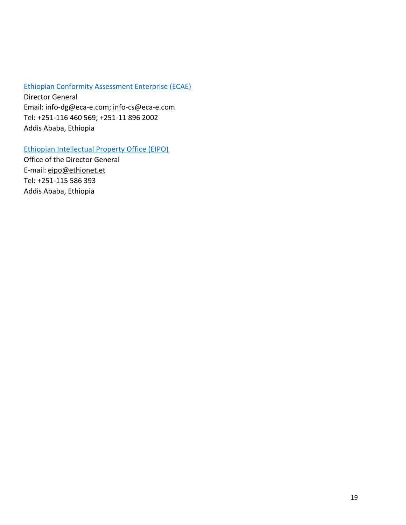## [Ethiopian Conformity Assessment Enterprise \(ECAE\)](http://www.eca-e.com/index.php?lang=en)

Director General Email: [info-dg@eca-e.com](mailto:info-dg@eca-e.com); [info-cs@eca-e.com](mailto:info-cs@eca-e.com) Tel: +251-116 460 569; +251-11 896 2002 Addis Ababa, Ethiopia

# [Ethiopian Intellectual Property Office \(EIPO\)](https://www.wipo.int/members/en/contact.jsp?country_id=56)

Office of the Director General E-mail: [eipo@ethionet.et](mailto:eipo@ethionet.et) Tel: +251-115 586 393 Addis Ababa, Ethiopia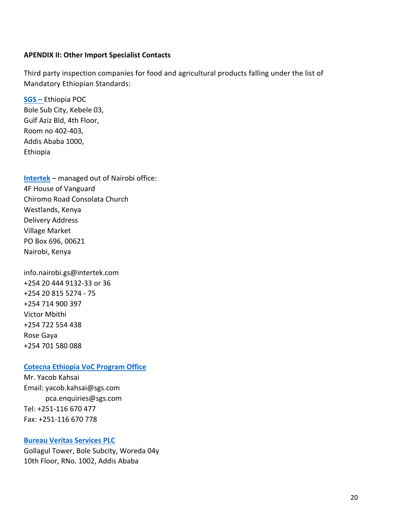#### <span id="page-19-0"></span>**APENDIX II: Other Import Specialist Contacts**

Third party inspection companies for food and agricultural products falling under the list of Mandatory Ethiopian Standards:

**[SGS](https://www.sgs-ethiopia.com/) –** Ethiopia POC Bole Sub City, Kebele 03, Gulf Aziz Bld, 4th Floor, Room no 402-403, Addis Ababa 1000, Ethiopia

**[Intertek](http://www.intertek.com/government/ethiopia/)** – managed out of Nairobi office: 4F House of Vanguard Chiromo Road Consolata Church Westlands, Kenya Delivery Address Village Market PO Box 696, 00621 Nairobi, Kenya

info.nairobi.gs@intertek.com +254 20 444 9132-33 or 36 +254 20 815 5274 - 75 +254 714 900 397 Victor Mbithi +254 722 554 438 Rose Gaya +254 701 580 088

#### **[Cotecna Ethiopia VoC Program Office](https://www.cotecna.com/en/services/conformity-assessment/verification-of-conformity/certificate-of-conformity-for-exports-to-ethiopia)**

Mr. Yacob Kahsai Email: [yacob.kahsai@sgs.com](mailto:yacob.kahsai@sgs.com) pca.enquiries@sgs.com Tel: +251-116 670 477 Fax: +251-116 670 778

#### **[Bureau Veritas Services PLC](https://www.bureauveritas.com/home/worldwide-locations/africa/ethiopia/)**

Gollagul Tower, Bole Subcity, Woreda 04y 10th Floor, RNo. 1002, Addis Ababa